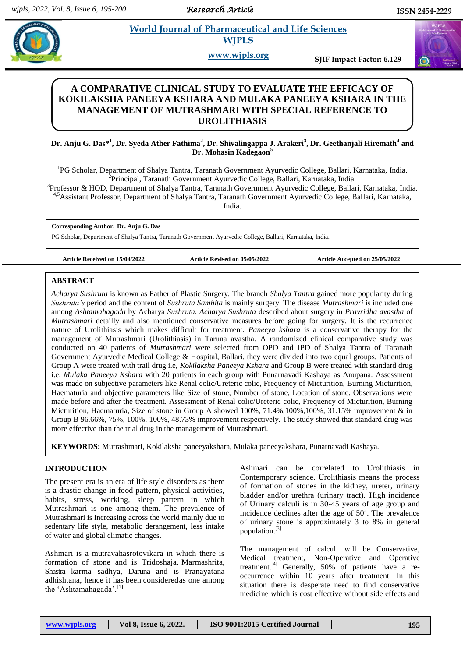*Research Article* 

# **Angle 3 Is all** *E* **World Journal of Pharmaceutical and Life Sciences <b>***Company* **WJPLS**

**www.wjpls.org SJIF Impact Factor: 6.129**

# **A COMPARATIVE CLINICAL STUDY TO EVALUATE THE EFFICACY OF KOKILAKSHA PANEEYA KSHARA AND MULAKA PANEEYA KSHARA IN THE MANAGEMENT OF MUTRASHMARI WITH SPECIAL REFERENCE TO UROLITHIASIS**

**Dr. Anju G. Das\* 1 , Dr. Syeda Ather Fathima<sup>2</sup> , Dr. Shivalingappa J. Arakeri<sup>3</sup> , Dr. Geethanjali Hiremath<sup>4</sup> and Dr. Mohasin Kadegaon<sup>5</sup>**

<sup>1</sup>PG Scholar, Department of Shalya Tantra, Taranath Government Ayurvedic College, Ballari, Karnataka, India. <sup>2</sup> Principal, Taranath Government Ayurvedic College, Ballari, Karnataka, India.

3 Professor & HOD, Department of Shalya Tantra, Taranath Government Ayurvedic College, Ballari, Karnataka, India. 4,5Assistant Professor, Department of Shalya Tantra, Taranath Government Ayurvedic College, Ballari, Karnataka, India.

**Corresponding Author: Dr. Anju G. Das**

PG Scholar, Department of Shalya Tantra, Taranath Government Ayurvedic College, Ballari, Karnataka[, India.](mailto:India.%20anjugracydas15@gmail.com) 

**Article Received on 15/04/2022 Article Revised on 05/05/2022 Article Accepted on 25/05/2022**

# **ABSTRACT**

*Acharya Sushruta* is known as Father of Plastic Surgery. The branch *Shalya Tantra* gained more popularity during *Sushruta's* period and the content of *Sushruta Samhita* is mainly surgery. The disease *Mutrashmari* is included one among *Ashtamahagada* by Acharya *Sushruta. Acharya Sushruta* described about surgery in *Pravridha avastha* of *Mutrashmari* detailly and also mentioned conservative measures before going for surgery. It is the recurrence nature of Urolithiasis which makes difficult for treatment. *Paneeya kshara* is a conservative therapy for the management of Mutrashmari (Urolithiasis) in Taruna avastha. A randomized clinical comparative study was conducted on 40 patients of *Mutrashmari* were selected from OPD and IPD of Shalya Tantra of Taranath Government Ayurvedic Medical College & Hospital, Ballari, they were divided into two equal groups. Patients of Group A were treated with trail drug i.e, *Kokilaksha Paneeya Kshara* and Group B were treated with standard drug i.e, *Mulaka Paneeya Kshara* with 20 patients in each group with Punarnavadi Kashaya as Anupana. Assessment was made on subjective parameters like Renal colic/Ureteric colic, Frequency of Micturition, Burning Micturition, Haematuria and objective parameters like Size of stone, Number of stone, Location of stone. Observations were made before and after the treatment. Assessment of Renal colic/Ureteric colic, Frequency of Micturition, Burning Micturition, Haematuria, Size of stone in Group A showed 100%, 71.4%,100%,100%, 31.15% improvement & in Group B 96.66%, 75%, 100%, 100%, 48.73% improvement respectively. The study showed that standard drug was more effective than the trial drug in the management of Mutrashmari.

**KEYWORDS:** Mutrashmari, Kokilaksha paneeyakshara, Mulaka paneeyakshara, Punarnavadi Kashaya.

# **INTRODUCTION**

The present era is an era of life style disorders as there is a drastic change in food pattern, physical activities, habits, stress, working, sleep pattern in which Mutrashmari is one among them. The prevalence of Mutrashmari is increasing across the world mainly due to sedentary life style, metabolic derangement, less intake of water and global climatic changes.

Ashmari is a mutravahasrotovikara in which there is formation of stone and is Tridoshaja, Marmashrita, Shastra karma sadhya, Daruna and is Pranayatana adhishtana, hence it has been consideredas one among the 'Ashtamahagada'.<sup>[1]</sup>

Ashmari can be correlated to Urolithiasis in Contemporary science. Urolithiasis means the process of formation of stones in the kidney, ureter, urinary bladder and/or urethra (urinary tract). High incidence of Urinary calculi is in 30-45 years of age group and incidence declines after the age of  $50^2$ . The prevalence of urinary stone is approximately 3 to 8% in general population. [3]

The management of calculi will be Conservative, Medical treatment, Non-Operative and Operative treatment.<sup>[4]</sup> Generally, 50% of patients have a reoccurrence within 10 years after treatment. In this situation there is desperate need to find conservative medicine which is cost effective without side effects and

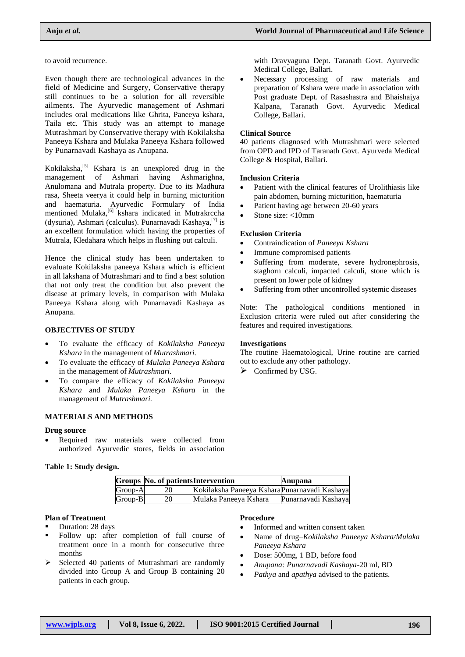to avoid recurrence.

Even though there are technological advances in the field of Medicine and Surgery, Conservative therapy still continues to be a solution for all reversible ailments. The Ayurvedic management of Ashmari includes oral medications like Ghrita, Paneeya kshara, Taila etc. This study was an attempt to manage Mutrashmari by Conservative therapy with Kokilaksha Paneeya Kshara and Mulaka Paneeya Kshara followed by Punarnavadi Kashaya as Anupana.

Kokilaksha,<sup>[5]</sup> Kshara is an unexplored drug in the management of Ashmari having Ashmarighna, Anulomana and Mutrala property. Due to its Madhura rasa, Sheeta veerya it could help in burning micturition and haematuria. Ayurvedic Formulary of India mentioned Mulaka,<sup>[6]</sup> kshara indicated in Mutrakrccha (dysuria), Ashmari (calculus). Punarnavadi Kashaya,<sup>[7]</sup> is an excellent formulation which having the properties of Mutrala, Kledahara which helps in flushing out calculi.

Hence the clinical study has been undertaken to evaluate Kokilaksha paneeya Kshara which is efficient in all lakshana of Mutrashmari and to find a best solution that not only treat the condition but also prevent the disease at primary levels, in comparison with Mulaka Paneeya Kshara along with Punarnavadi Kashaya as Anupana.

# **OBJECTIVES OF STUDY**

- To evaluate the efficacy of *Kokilaksha Paneeya Kshara* in the management of *Mutrashmari.*
- To evaluate the efficacy of *Mulaka Paneeya Kshara* in the management of *Mutrashmari.*
- To compare the efficacy of *Kokilaksha Paneeya Kshara* and *Mulaka Paneeya Kshara* in the management of *Mutrashmari.*

# **MATERIALS AND METHODS**

#### **Drug source**

• Required raw materials were collected from authorized Ayurvedic stores, fields in association

#### **Table 1: Study design.**

|         | <b>Groups No. of patients Intervention</b> |                                               | Anupana             |
|---------|--------------------------------------------|-----------------------------------------------|---------------------|
| Group-A |                                            | Kokilaksha Paneeya Kshara Punarnavadi Kashaya |                     |
| Group-B |                                            | Mulaka Paneeya Kshara                         | Punarnavadi Kashaya |

#### **Plan of Treatment**

Duration: 28 days

- Follow up: after completion of full course of treatment once in a month for consecutive three months
- $\triangleright$  Selected 40 patients of Mutrashmari are randomly divided into Group A and Group B containing 20 patients in each group.

with Dravyaguna Dept. Taranath Govt. Ayurvedic Medical College, Ballari.

 Necessary processing of raw materials and preparation of Kshara were made in association with Post graduate Dept. of Rasashastra and Bhaishajya Kalpana, Taranath Govt. Ayurvedic Medical College, Ballari.

#### **Clinical Source**

40 patients diagnosed with Mutrashmari were selected from OPD and IPD of Taranath Govt. Ayurveda Medical College & Hospital, Ballari.

#### **Inclusion Criteria**

- Patient with the clinical features of Urolithiasis like pain abdomen, burning micturition, haematuria
- Patient having age between 20-60 years
- $\bullet$  Stone size: <10mm

#### **Exclusion Criteria**

- Contraindication of *Paneeya Kshara*
- Immune compromised patients
- Suffering from moderate, severe hydronephrosis, staghorn calculi, impacted calculi, stone which is present on lower pole of kidney
- Suffering from other uncontrolled systemic diseases

Note: The pathological conditions mentioned in Exclusion criteria were ruled out after considering the features and required investigations.

# **Investigations**

The routine Haematological, Urine routine are carried out to exclude any other pathology.

 $\triangleright$  Confirmed by USG.

# **Procedure**

- Informed and written consent taken
- Name of drug–*Kokilaksha Paneeya Kshara/Mulaka Paneeya Kshara*
- Dose: 500mg, 1 BD, before food
- *Anupana: Punarnavadi Kashaya*-20 ml, BD
- *Pathya* and *apathya* advised to the patients.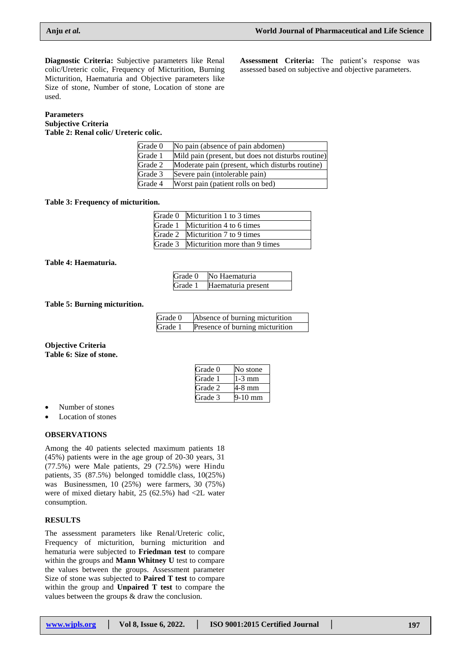Assessment Criteria: The patient's response was assessed based on subjective and objective parameters.

**Diagnostic Criteria:** Subjective parameters like Renal colic/Ureteric colic, Frequency of Micturition, Burning Micturition, Haematuria and Objective parameters like Size of stone, Number of stone, Location of stone are used.

# **Parameters**

**Subjective Criteria Table 2: Renal colic/ Ureteric colic.**

| No pain (absence of pain abdomen)                  |
|----------------------------------------------------|
| Mild pain (present, but does not disturbs routine) |
| Moderate pain (present, which disturbs routine)    |
| Severe pain (intolerable pain)                     |
| Worst pain (patient rolls on bed)                  |
|                                                    |

#### **Table 3: Frequency of micturition.**

| Grade 0 Micturition 1 to 3 times      |
|---------------------------------------|
| Grade 1 Micturition 4 to 6 times      |
| Grade 2 Micturition 7 to 9 times      |
| Grade 3 Micturition more than 9 times |

**Table 4: Haematuria.**

|         | Grade 0 No Haematuria |
|---------|-----------------------|
| Grade 1 | Haematuria present    |

#### **Table 5: Burning micturition.**

| Grade 0 | Absence of burning micturition  |
|---------|---------------------------------|
| Grade 1 | Presence of burning micturition |

#### **Objective Criteria Table 6: Size of stone.**

| Grade 0 | No stone |
|---------|----------|
| Grade 1 | -3 mm    |
| Grade 2 | -8 mm    |
| Grade 3 | 10 mm    |

- Number of stones
- Location of stones

# **OBSERVATIONS**

Among the 40 patients selected maximum patients 18 (45%) patients were in the age group of 20-30 years, 31 (77.5%) were Male patients, 29 (72.5%) were Hindu patients, 35 (87.5%) belonged tomiddle class, 10(25%) was Businessmen, 10 (25%) were farmers, 30 (75%) were of mixed dietary habit, 25 (62.5%) had <2L water consumption.

# **RESULTS**

The assessment parameters like Renal/Ureteric colic, Frequency of micturition, burning micturition and hematuria were subjected to **Friedman test** to compare within the groups and **Mann Whitney U** test to compare the values between the groups. Assessment parameter Size of stone was subjected to **Paired T test** to compare within the group and **Unpaired T test** to compare the values between the groups & draw the conclusion.

| www.wipls.org | Vol 8, Issue 6, 2022. | ISO 9001:2015 Certified Journal | 197 |
|---------------|-----------------------|---------------------------------|-----|
|---------------|-----------------------|---------------------------------|-----|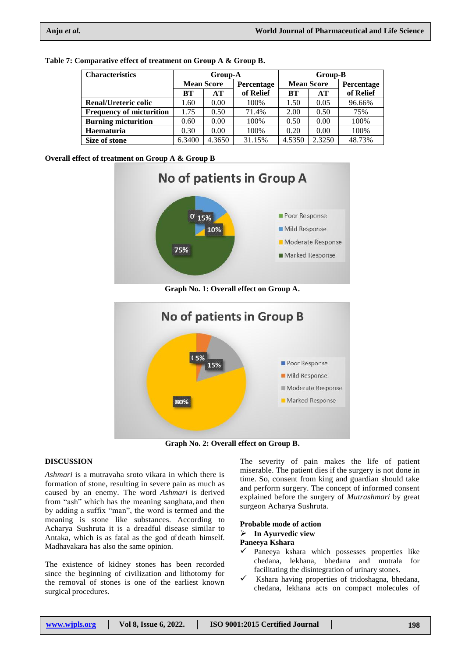| <b>Characteristics</b>          | Group-A           |        |            | Group-B           |        |            |
|---------------------------------|-------------------|--------|------------|-------------------|--------|------------|
|                                 | <b>Mean Score</b> |        | Percentage | <b>Mean Score</b> |        | Percentage |
|                                 | <b>BT</b>         | AT     | of Relief  | BТ                | AT     | of Relief  |
| <b>Renal/Ureteric colic</b>     | 1.60              | 0.00   | 100%       | 1.50              | 0.05   | 96.66%     |
| <b>Frequency of micturition</b> | 1.75              | 0.50   | 71.4%      | 2.00              | 0.50   | 75%        |
| <b>Burning micturition</b>      | 0.60              | 0.00   | 100%       | 0.50              | 0.00   | 100%       |
| <b>Haematuria</b>               | 0.30              | 0.00   | 100%       | 0.20              | 0.00   | 100%       |
| Size of stone                   | 6.3400            | 4.3650 | 31.15%     | 4.5350            | 2.3250 | 48.73%     |

**Table 7: Comparative effect of treatment on Group A & Group B.**

**Overall effect of treatment on Group A & Group B**



**Graph No. 1: Overall effect on Group A.**



**Graph No. 2: Overall effect on Group B.**

# **DISCUSSION**

*Ashmari* is a mutravaha sroto vikara in which there is formation of stone, resulting in severe pain as much as caused by an enemy. The word *Ashmari* is derived from "ash" which has the meaning sanghata, and then by adding a suffix "man", the word is termed and the meaning is stone like substances. According to Acharya Sushruta it is a dreadful disease similar to Antaka, which is as fatal as the god of death himself. Madhavakara has also the same opinion.

The existence of kidney stones has been recorded since the beginning of civilization and lithotomy for the removal of stones is one of the earliest known surgical procedures.

The severity of pain makes the life of patient miserable. The patient dies if the surgery is not done in time. So, consent from king and guardian should take and perform surgery. The concept of informed consent explained before the surgery of *Mutrashmari* by great surgeon Acharya Sushruta.

# **Probable mode of action In Ayurvedic view**

# **Paneeya Kshara**

- $\checkmark$  Paneeya kshara which possesses properties like chedana, lekhana, bhedana and mutrala for facilitating the disintegration of urinary stones.
- Kshara having properties of tridoshagna, bhedana, chedana, lekhana acts on compact molecules of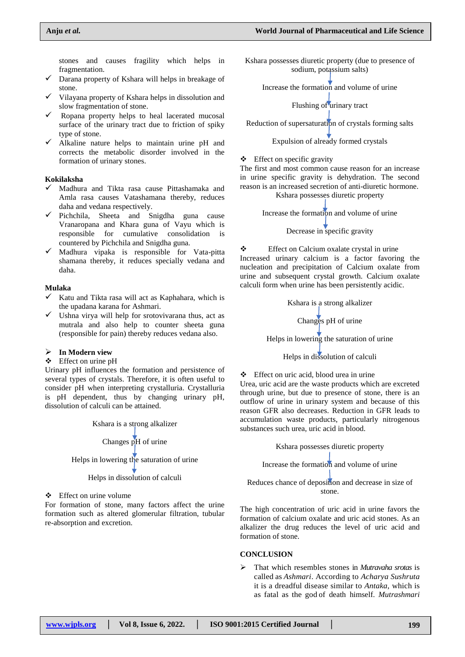stones and causes fragility which helps in fragmentation.

- Darana property of Kshara will helps in breakage of stone.
- $\checkmark$  Vilayana property of Kshara helps in dissolution and slow fragmentation of stone.
- $\checkmark$  Ropana property helps to heal lacerated mucosal surface of the urinary tract due to friction of spiky type of stone.
- $\checkmark$  Alkaline nature helps to maintain urine pH and corrects the metabolic disorder involved in the formation of urinary stones.

#### **Kokilaksha**

- $\checkmark$  Madhura and Tikta rasa cause Pittashamaka and Amla rasa causes Vatashamana thereby, reduces daha and vedana respectively.
- $\checkmark$  Pichchila, Sheeta and Snigdha guna cause Vranaropana and Khara guna of Vayu which is responsible for cumulative consolidation is countered by Pichchila and Snigdha guna.
- $\checkmark$  Madhura vipaka is responsible for Vata-pitta shamana thereby, it reduces specially vedana and daha.

# **Mulaka**

- $\checkmark$  Katu and Tikta rasa will act as Kaphahara, which is the upadana karana for Ashmari.
- $\checkmark$  Ushna virya will help for srotovivarana thus, act as mutrala and also help to counter sheeta guna (responsible for pain) thereby reduces vedana also.

#### **In Modern view**

#### Effect on urine pH

Urinary pH influences the formation and persistence of several types of crystals. Therefore, it is often useful to consider pH when interpreting crystalluria. Crystalluria is pH dependent, thus by changing urinary pH, dissolution of calculi can be attained.

> Kshara is a strong alkalizer Changes pH of urine Helps in lowering the saturation of urine Helps in dissolution of calculi

Effect on urine volume

For formation of stone, many factors affect the urine formation such as altered glomerular filtration, tubular re-absorption and excretion.

Kshara possesses diuretic property (due to presence of sodium, potassium salts)

Increase the formation and volume of urine

Flushing of urinary tract

Reduction of supersaturation of crystals forming salts

### Expulsion of already formed crystals

#### $\triangle$  Effect on specific gravity

The first and most common cause reason for an increase in urine specific gravity is dehydration. The second reason is an increased secretion of anti-diuretic hormone. Kshara possesses diuretic property

Increase the formation and volume of urine Decrease in specific gravity

 Effect on Calcium oxalate crystal in urine Increased urinary calcium is a factor favoring the nucleation and precipitation of Calcium oxalate from urine and subsequent crystal growth. Calcium oxalate calculi form when urine has been persistently acidic.

> Kshara is a strong alkalizer Changes pH of urine Helps in lowering the saturation of urine Helps in dissolution of calculi

 Effect on uric acid, blood urea in urine Urea, uric acid are the waste products which are excreted through urine, but due to presence of stone, there is an outflow of urine in urinary system and because of this reason GFR also decreases. Reduction in GFR leads to accumulation waste products, particularly nitrogenous substances such urea, uric acid in blood.

Kshara possesses diuretic property

Increase the formation and volume of urine

Reduces chance of deposition and decrease in size of stone.

The high concentration of uric acid in urine favors the formation of calcium oxalate and uric acid stones. As an alkalizer the drug reduces the level of uric acid and formation of stone.

#### **CONCLUSION**

 That which resembles stones in *Mutravaha srotas* is called as *Ashmari*. According to *Acharya Sushruta* it is a dreadful disease similar to *Antaka*, which is as fatal as the god of death himself. *Mutrashmari*